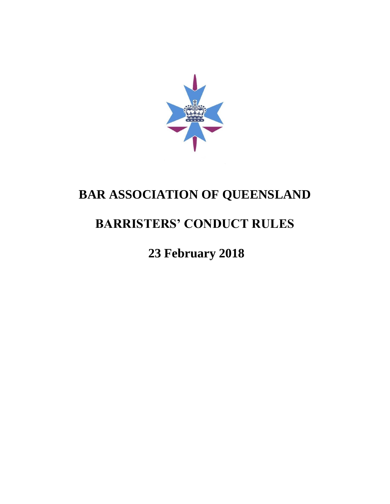

# **BAR ASSOCIATION OF QUEENSLAND**

# **BARRISTERS' CONDUCT RULES**

## **23 February 2018**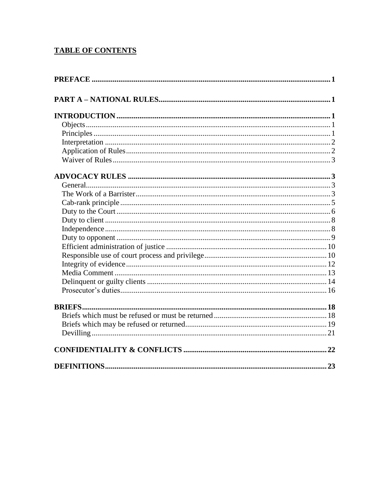## **TABLE OF CONTENTS**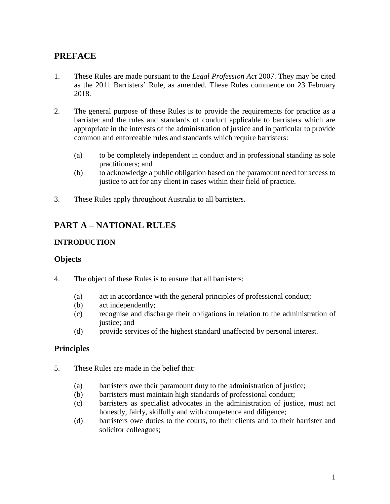## <span id="page-2-0"></span>**PREFACE**

- 1. These Rules are made pursuant to the *Legal Profession Act* 2007. They may be cited as the 2011 Barristers' Rule, as amended. These Rules commence on 23 February 2018.
- 2. The general purpose of these Rules is to provide the requirements for practice as a barrister and the rules and standards of conduct applicable to barristers which are appropriate in the interests of the administration of justice and in particular to provide common and enforceable rules and standards which require barristers:
	- (a) to be completely independent in conduct and in professional standing as sole practitioners; and
	- (b) to acknowledge a public obligation based on the paramount need for access to justice to act for any client in cases within their field of practice.
- 3. These Rules apply throughout Australia to all barristers.

## <span id="page-2-1"></span>**PART A – NATIONAL RULES**

#### <span id="page-2-2"></span>**INTRODUCTION**

#### <span id="page-2-3"></span>**Objects**

- 4. The object of these Rules is to ensure that all barristers:
	- (a) act in accordance with the general principles of professional conduct;
	- (b) act independently;
	- (c) recognise and discharge their obligations in relation to the administration of justice; and
	- (d) provide services of the highest standard unaffected by personal interest.

## <span id="page-2-4"></span>**Principles**

- 5. These Rules are made in the belief that:
	- (a) barristers owe their paramount duty to the administration of justice;
	- (b) barristers must maintain high standards of professional conduct;
	- (c) barristers as specialist advocates in the administration of justice, must act honestly, fairly, skilfully and with competence and diligence;
	- (d) barristers owe duties to the courts, to their clients and to their barrister and solicitor colleagues;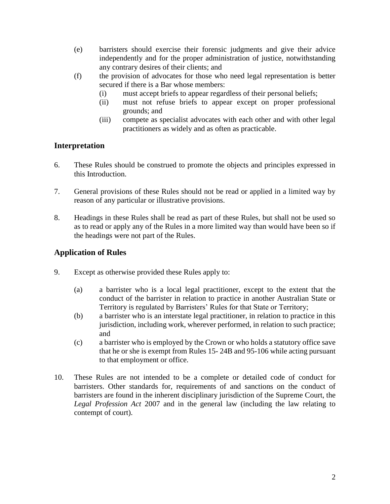- (e) barristers should exercise their forensic judgments and give their advice independently and for the proper administration of justice, notwithstanding any contrary desires of their clients; and
- (f) the provision of advocates for those who need legal representation is better secured if there is a Bar whose members:
	- (i) must accept briefs to appear regardless of their personal beliefs;
	- (ii) must not refuse briefs to appear except on proper professional grounds; and
	- (iii) compete as specialist advocates with each other and with other legal practitioners as widely and as often as practicable.

## <span id="page-3-0"></span>**Interpretation**

- 6. These Rules should be construed to promote the objects and principles expressed in this Introduction.
- 7. General provisions of these Rules should not be read or applied in a limited way by reason of any particular or illustrative provisions.
- 8. Headings in these Rules shall be read as part of these Rules, but shall not be used so as to read or apply any of the Rules in a more limited way than would have been so if the headings were not part of the Rules.

#### <span id="page-3-1"></span>**Application of Rules**

- 9. Except as otherwise provided these Rules apply to:
	- (a) a barrister who is a local legal practitioner, except to the extent that the conduct of the barrister in relation to practice in another Australian State or Territory is regulated by Barristers' Rules for that State or Territory;
	- (b) a barrister who is an interstate legal practitioner, in relation to practice in this jurisdiction, including work, wherever performed, in relation to such practice; and
	- (c) a barrister who is employed by the Crown or who holds a statutory office save that he or she is exempt from Rules [15-](#page-4-4) [24B](#page-6-1) an[d 95](#page-19-2)[-106](#page-22-1) while acting pursuant to that employment or office.
- 10. These Rules are not intended to be a complete or detailed code of conduct for barristers. Other standards for, requirements of and sanctions on the conduct of barristers are found in the inherent disciplinary jurisdiction of the Supreme Court, the *Legal Profession Act* 2007 and in the general law (including the law relating to contempt of court).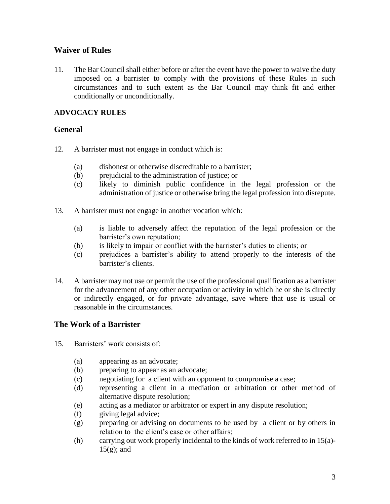#### <span id="page-4-0"></span>**Waiver of Rules**

11. The Bar Council shall either before or after the event have the power to waive the duty imposed on a barrister to comply with the provisions of these Rules in such circumstances and to such extent as the Bar Council may think fit and either conditionally or unconditionally.

#### <span id="page-4-1"></span>**ADVOCACY RULES**

#### <span id="page-4-2"></span>**General**

- 12. A barrister must not engage in conduct which is:
	- (a) dishonest or otherwise discreditable to a barrister;
	- (b) prejudicial to the administration of justice; or
	- (c) likely to diminish public confidence in the legal profession or the administration of justice or otherwise bring the legal profession into disrepute.
- 13. A barrister must not engage in another vocation which:
	- (a) is liable to adversely affect the reputation of the legal profession or the barrister's own reputation;
	- (b) is likely to impair or conflict with the barrister's duties to clients; or
	- (c) prejudices a barrister's ability to attend properly to the interests of the barrister's clients.
- 14. A barrister may not use or permit the use of the professional qualification as a barrister for the advancement of any other occupation or activity in which he or she is directly or indirectly engaged, or for private advantage, save where that use is usual or reasonable in the circumstances.

## <span id="page-4-3"></span>**The Work of a Barrister**

- <span id="page-4-6"></span><span id="page-4-5"></span><span id="page-4-4"></span>15. Barristers' work consists of:
	- (a) appearing as an advocate;
	- (b) preparing to appear as an advocate;
	- (c) negotiating for a client with an opponent to compromise a case;
	- (d) representing a client in a mediation or arbitration or other method of alternative dispute resolution;
	- (e) acting as a mediator or arbitrator or expert in any dispute resolution;
	- (f) giving legal advice;
	- (g) preparing or advising on documents to be used by a client or by others in relation to the client's case or other affairs;
	- (h) carrying out work properly incidental to the kinds of work referred to in 1[5\(a\)-](#page-4-5)  $15(g)$ ; and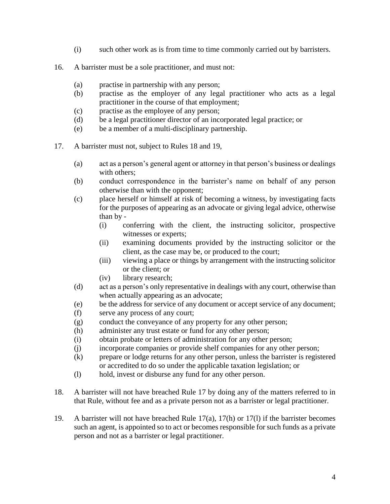- (i) such other work as is from time to time commonly carried out by barristers.
- <span id="page-5-6"></span>16. A barrister must be a sole practitioner, and must not:
	- (a) practise in partnership with any person;
	- (b) practise as the employer of any legal practitioner who acts as a legal practitioner in the course of that employment;
	- (c) practise as the employee of any person;
	- (d) be a legal practitioner director of an incorporated legal practice; or
	- (e) be a member of a multi-disciplinary partnership.
- <span id="page-5-3"></span><span id="page-5-2"></span>17. A barrister must not, subject to Rules [18](#page-5-0) and [19,](#page-5-1)
	- (a) act as a person's general agent or attorney in that person's business or dealings with others:
	- (b) conduct correspondence in the barrister's name on behalf of any person otherwise than with the opponent;
	- (c) place herself or himself at risk of becoming a witness, by investigating facts for the purposes of appearing as an advocate or giving legal advice, otherwise than by -
		- (i) conferring with the client, the instructing solicitor, prospective witnesses or experts;
		- (ii) examining documents provided by the instructing solicitor or the client, as the case may be, or produced to the court;
		- (iii) viewing a place or things by arrangement with the instructing solicitor or the client; or
		- (iv) library research;
	- (d) act as a person's only representative in dealings with any court, otherwise than when actually appearing as an advocate;
	- (e) be the address for service of any document or accept service of any document;
	- (f) serve any process of any court;
	- (g) conduct the conveyance of any property for any other person;
	- (h) administer any trust estate or fund for any other person;
	- (i) obtain probate or letters of administration for any other person;
	- (j) incorporate companies or provide shelf companies for any other person;
	- (k) prepare or lodge returns for any other person, unless the barrister is registered or accredited to do so under the applicable taxation legislation; or
	- (l) hold, invest or disburse any fund for any other person.
- <span id="page-5-5"></span><span id="page-5-4"></span><span id="page-5-0"></span>18. A barrister will not have breached Rule [17](#page-5-2) by doing any of the matters referred to in that Rule, without fee and as a private person not as a barrister or legal practitioner.
- <span id="page-5-1"></span>19. A barrister will not have breached Rule [17\(a\),](#page-5-3) [17\(h\)](#page-5-4) or [17\(l\)](#page-5-5) if the barrister becomes such an agent, is appointed so to act or becomes responsible for such funds as a private person and not as a barrister or legal practitioner.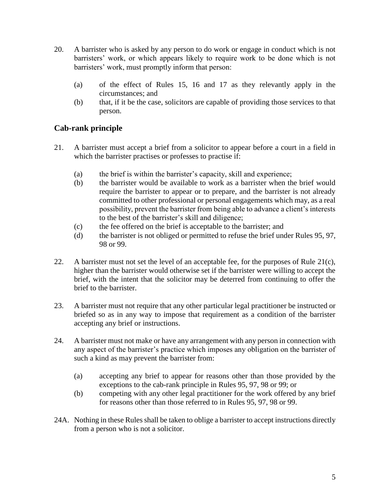- 20. A barrister who is asked by any person to do work or engage in conduct which is not barristers' work, or which appears likely to require work to be done which is not barristers' work, must promptly inform that person:
	- (a) of the effect of Rules [15,](#page-4-4) [16](#page-5-6) and [17](#page-5-2) as they relevantly apply in the circumstances; and
	- (b) that, if it be the case, solicitors are capable of providing those services to that person.

## <span id="page-6-0"></span>**Cab-rank principle**

- 21. A barrister must accept a brief from a solicitor to appear before a court in a field in which the barrister practises or professes to practise if:
	- (a) the brief is within the barrister's capacity, skill and experience;
	- (b) the barrister would be available to work as a barrister when the brief would require the barrister to appear or to prepare, and the barrister is not already committed to other professional or personal engagements which may, as a real possibility, prevent the barrister from being able to advance a client's interests to the best of the barrister's skill and diligence;
	- (c) the fee offered on the brief is acceptable to the barrister; and
	- (d) the barrister is not obliged or permitted to refuse the brief under Rules [95,](#page-19-2) [97,](#page-20-1) 98 or [99.](#page-20-2)
- <span id="page-6-2"></span>22. A barrister must not set the level of an acceptable fee, for the purposes of Rule [21\(c\),](#page-6-2) higher than the barrister would otherwise set if the barrister were willing to accept the brief, with the intent that the solicitor may be deterred from continuing to offer the brief to the barrister.
- 23. A barrister must not require that any other particular legal practitioner be instructed or briefed so as in any way to impose that requirement as a condition of the barrister accepting any brief or instructions.
- <span id="page-6-1"></span>24. A barrister must not make or have any arrangement with any person in connection with any aspect of the barrister's practice which imposes any obligation on the barrister of such a kind as may prevent the barrister from:
	- (a) accepting any brief to appear for reasons other than those provided by the exceptions to the cab-rank principle in Rules [95,](#page-19-2) [97,](#page-20-1) 98 or [99;](#page-20-2) or
	- (b) competing with any other legal practitioner for the work offered by any brief for reasons other than those referred to in Rules [95,](#page-19-2) [97,](#page-20-1) 98 or [99.](#page-20-2)
- 24A. Nothing in these Rules shall be taken to oblige a barrister to accept instructions directly from a person who is not a solicitor.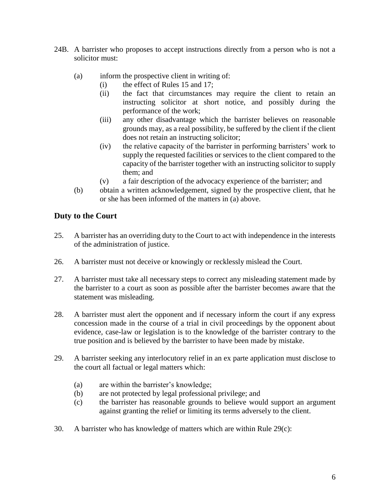- 24B. A barrister who proposes to accept instructions directly from a person who is not a solicitor must:
	- (a) inform the prospective client in writing of:
		- (i) the effect of Rules [15](#page-4-4) and [17;](#page-5-2)
		- (ii) the fact that circumstances may require the client to retain an instructing solicitor at short notice, and possibly during the performance of the work;
		- (iii) any other disadvantage which the barrister believes on reasonable grounds may, as a real possibility, be suffered by the client if the client does not retain an instructing solicitor;
		- (iv) the relative capacity of the barrister in performing barristers' work to supply the requested facilities or services to the client compared to the capacity of the barrister together with an instructing solicitor to supply them; and
		- (v) a fair description of the advocacy experience of the barrister; and
	- (b) obtain a written acknowledgement, signed by the prospective client, that he or she has been informed of the matters in (a) above.

## <span id="page-7-0"></span>**Duty to the Court**

- 25. A barrister has an overriding duty to the Court to act with independence in the interests of the administration of justice.
- 26. A barrister must not deceive or knowingly or recklessly mislead the Court.
- 27. A barrister must take all necessary steps to correct any misleading statement made by the barrister to a court as soon as possible after the barrister becomes aware that the statement was misleading.
- 28. A barrister must alert the opponent and if necessary inform the court if any express concession made in the course of a trial in civil proceedings by the opponent about evidence, case-law or legislation is to the knowledge of the barrister contrary to the true position and is believed by the barrister to have been made by mistake.
- <span id="page-7-2"></span>29. A barrister seeking any interlocutory relief in an ex parte application must disclose to the court all factual or legal matters which:
	- (a) are within the barrister's knowledge;
	- (b) are not protected by legal professional privilege; and
	- (c) the barrister has reasonable grounds to believe would support an argument against granting the relief or limiting its terms adversely to the client.
- <span id="page-7-1"></span>30. A barrister who has knowledge of matters which are within Rule [29\(c\):](#page-7-1)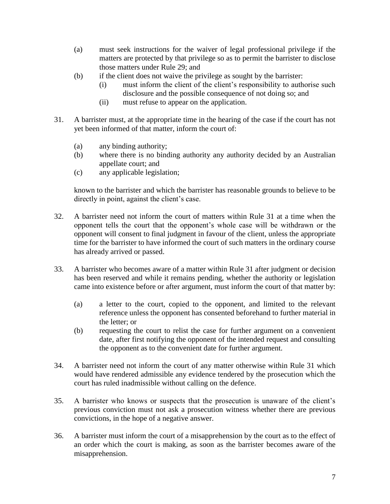- (a) must seek instructions for the waiver of legal professional privilege if the matters are protected by that privilege so as to permit the barrister to disclose those matters under Rule [29;](#page-7-2) and
- (b) if the client does not waive the privilege as sought by the barrister:
	- (i) must inform the client of the client's responsibility to authorise such disclosure and the possible consequence of not doing so; and
	- (ii) must refuse to appear on the application.
- <span id="page-8-0"></span>31. A barrister must, at the appropriate time in the hearing of the case if the court has not yet been informed of that matter, inform the court of:
	- (a) any binding authority;
	- (b) where there is no binding authority any authority decided by an Australian appellate court; and
	- (c) any applicable legislation;

known to the barrister and which the barrister has reasonable grounds to believe to be directly in point, against the client's case.

- 32. A barrister need not inform the court of matters within Rule [31](#page-8-0) at a time when the opponent tells the court that the opponent's whole case will be withdrawn or the opponent will consent to final judgment in favour of the client, unless the appropriate time for the barrister to have informed the court of such matters in the ordinary course has already arrived or passed.
- 33. A barrister who becomes aware of a matter within Rule [31](#page-8-0) after judgment or decision has been reserved and while it remains pending, whether the authority or legislation came into existence before or after argument, must inform the court of that matter by:
	- (a) a letter to the court, copied to the opponent, and limited to the relevant reference unless the opponent has consented beforehand to further material in the letter; or
	- (b) requesting the court to relist the case for further argument on a convenient date, after first notifying the opponent of the intended request and consulting the opponent as to the convenient date for further argument.
- 34. A barrister need not inform the court of any matter otherwise within Rule [31](#page-8-0) which would have rendered admissible any evidence tendered by the prosecution which the court has ruled inadmissible without calling on the defence.
- 35. A barrister who knows or suspects that the prosecution is unaware of the client's previous conviction must not ask a prosecution witness whether there are previous convictions, in the hope of a negative answer.
- 36. A barrister must inform the court of a misapprehension by the court as to the effect of an order which the court is making, as soon as the barrister becomes aware of the misapprehension.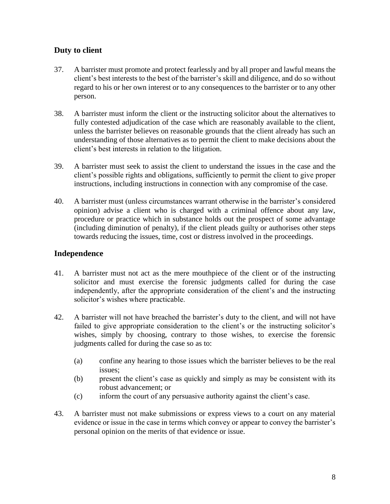## <span id="page-9-0"></span>**Duty to client**

- 37. A barrister must promote and protect fearlessly and by all proper and lawful means the client's best interests to the best of the barrister's skill and diligence, and do so without regard to his or her own interest or to any consequences to the barrister or to any other person.
- 38. A barrister must inform the client or the instructing solicitor about the alternatives to fully contested adjudication of the case which are reasonably available to the client, unless the barrister believes on reasonable grounds that the client already has such an understanding of those alternatives as to permit the client to make decisions about the client's best interests in relation to the litigation.
- 39. A barrister must seek to assist the client to understand the issues in the case and the client's possible rights and obligations, sufficiently to permit the client to give proper instructions, including instructions in connection with any compromise of the case.
- 40. A barrister must (unless circumstances warrant otherwise in the barrister's considered opinion) advise a client who is charged with a criminal offence about any law, procedure or practice which in substance holds out the prospect of some advantage (including diminution of penalty), if the client pleads guilty or authorises other steps towards reducing the issues, time, cost or distress involved in the proceedings.

#### <span id="page-9-1"></span>**Independence**

- 41. A barrister must not act as the mere mouthpiece of the client or of the instructing solicitor and must exercise the forensic judgments called for during the case independently, after the appropriate consideration of the client's and the instructing solicitor's wishes where practicable.
- 42. A barrister will not have breached the barrister's duty to the client, and will not have failed to give appropriate consideration to the client's or the instructing solicitor's wishes, simply by choosing, contrary to those wishes, to exercise the forensic judgments called for during the case so as to:
	- (a) confine any hearing to those issues which the barrister believes to be the real issues;
	- (b) present the client's case as quickly and simply as may be consistent with its robust advancement; or
	- (c) inform the court of any persuasive authority against the client's case.
- 43. A barrister must not make submissions or express views to a court on any material evidence or issue in the case in terms which convey or appear to convey the barrister's personal opinion on the merits of that evidence or issue.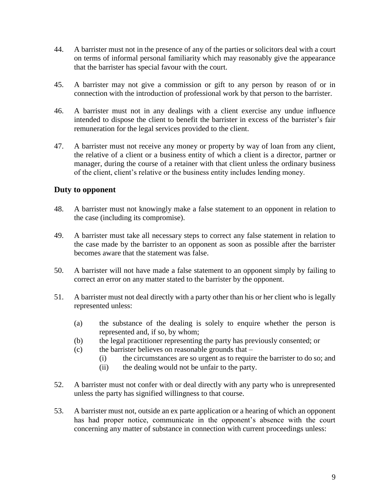- 44. A barrister must not in the presence of any of the parties or solicitors deal with a court on terms of informal personal familiarity which may reasonably give the appearance that the barrister has special favour with the court.
- 45. A barrister may not give a commission or gift to any person by reason of or in connection with the introduction of professional work by that person to the barrister.
- 46. A barrister must not in any dealings with a client exercise any undue influence intended to dispose the client to benefit the barrister in excess of the barrister's fair remuneration for the legal services provided to the client.
- 47. A barrister must not receive any money or property by way of loan from any client, the relative of a client or a business entity of which a client is a director, partner or manager, during the course of a retainer with that client unless the ordinary business of the client, client's relative or the business entity includes lending money.

#### <span id="page-10-0"></span>**Duty to opponent**

- 48. A barrister must not knowingly make a false statement to an opponent in relation to the case (including its compromise).
- 49. A barrister must take all necessary steps to correct any false statement in relation to the case made by the barrister to an opponent as soon as possible after the barrister becomes aware that the statement was false.
- 50. A barrister will not have made a false statement to an opponent simply by failing to correct an error on any matter stated to the barrister by the opponent.
- 51. A barrister must not deal directly with a party other than his or her client who is legally represented unless:
	- (a) the substance of the dealing is solely to enquire whether the person is represented and, if so, by whom;
	- (b) the legal practitioner representing the party has previously consented; or
	- (c) the barrister believes on reasonable grounds that
		- (i) the circumstances are so urgent as to require the barrister to do so; and
		- (ii) the dealing would not be unfair to the party.
- 52. A barrister must not confer with or deal directly with any party who is unrepresented unless the party has signified willingness to that course.
- <span id="page-10-1"></span>53. A barrister must not, outside an ex parte application or a hearing of which an opponent has had proper notice, communicate in the opponent's absence with the court concerning any matter of substance in connection with current proceedings unless: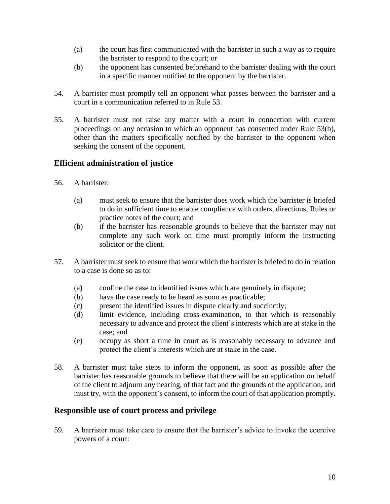- (a) the court has first communicated with the barrister in such a way as to require the barrister to respond to the court; or
- <span id="page-11-2"></span>(b) the opponent has consented beforehand to the barrister dealing with the court in a specific manner notified to the opponent by the barrister.
- 54. A barrister must promptly tell an opponent what passes between the barrister and a court in a communication referred to in Rule [53.](#page-10-1)
- 55. A barrister must not raise any matter with a court in connection with current proceedings on any occasion to which an opponent has consented under Rule [53\(b\),](#page-11-2) other than the matters specifically notified by the barrister to the opponent when seeking the consent of the opponent.

## <span id="page-11-0"></span>**Efficient administration of justice**

- 56. A barrister:
	- (a) must seek to ensure that the barrister does work which the barrister is briefed to do in sufficient time to enable compliance with orders, directions, Rules or practice notes of the court; and
	- (b) if the barrister has reasonable grounds to believe that the barrister may not complete any such work on time must promptly inform the instructing solicitor or the client.
- 57. A barrister must seek to ensure that work which the barrister is briefed to do in relation to a case is done so as to:
	- (a) confine the case to identified issues which are genuinely in dispute;
	- (b) have the case ready to be heard as soon as practicable;
	- (c) present the identified issues in dispute clearly and succinctly;
	- (d) limit evidence, including cross-examination, to that which is reasonably necessary to advance and protect the client's interests which are at stake in the case; and
	- (e) occupy as short a time in court as is reasonably necessary to advance and protect the client's interests which are at stake in the case.
- 58. A barrister must take steps to inform the opponent, as soon as possible after the barrister has reasonable grounds to believe that there will be an application on behalf of the client to adjourn any hearing, of that fact and the grounds of the application, and must try, with the opponent's consent, to inform the court of that application promptly.

#### <span id="page-11-1"></span>**Responsible use of court process and privilege**

59. A barrister must take care to ensure that the barrister's advice to invoke the coercive powers of a court: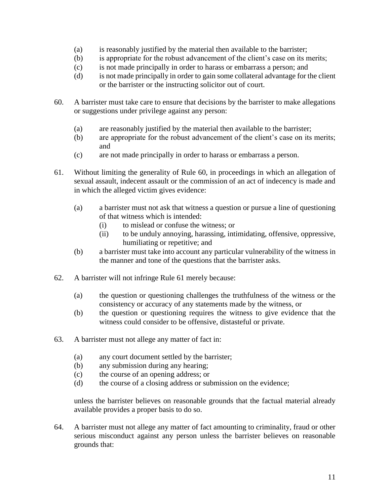- (a) is reasonably justified by the material then available to the barrister;
- (b) is appropriate for the robust advancement of the client's case on its merits;
- (c) is not made principally in order to harass or embarrass a person; and
- (d) is not made principally in order to gain some collateral advantage for the client or the barrister or the instructing solicitor out of court.
- <span id="page-12-0"></span>60. A barrister must take care to ensure that decisions by the barrister to make allegations or suggestions under privilege against any person:
	- (a) are reasonably justified by the material then available to the barrister;
	- (b) are appropriate for the robust advancement of the client's case on its merits; and
	- (c) are not made principally in order to harass or embarrass a person.
- <span id="page-12-1"></span>61. Without limiting the generality of Rule [60,](#page-12-0) in proceedings in which an allegation of sexual assault, indecent assault or the commission of an act of indecency is made and in which the alleged victim gives evidence:
	- (a) a barrister must not ask that witness a question or pursue a line of questioning of that witness which is intended:
		- (i) to mislead or confuse the witness; or
		- (ii) to be unduly annoying, harassing, intimidating, offensive, oppressive, humiliating or repetitive; and
	- (b) a barrister must take into account any particular vulnerability of the witness in the manner and tone of the questions that the barrister asks.
- 62. A barrister will not infringe Rule [61](#page-12-1) merely because:
	- (a) the question or questioning challenges the truthfulness of the witness or the consistency or accuracy of any statements made by the witness, or
	- (b) the question or questioning requires the witness to give evidence that the witness could consider to be offensive, distasteful or private.
- <span id="page-12-2"></span>63. A barrister must not allege any matter of fact in:
	- (a) any court document settled by the barrister;
	- (b) any submission during any hearing;
	- (c) the course of an opening address; or
	- (d) the course of a closing address or submission on the evidence;

unless the barrister believes on reasonable grounds that the factual material already available provides a proper basis to do so.

<span id="page-12-3"></span>64. A barrister must not allege any matter of fact amounting to criminality, fraud or other serious misconduct against any person unless the barrister believes on reasonable grounds that: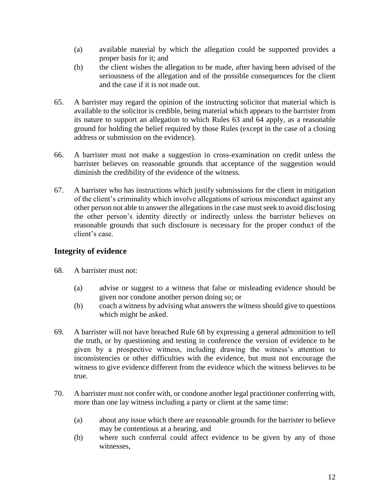- (a) available material by which the allegation could be supported provides a proper basis for it; and
- (b) the client wishes the allegation to be made, after having been advised of the seriousness of the allegation and of the possible consequences for the client and the case if it is not made out.
- 65. A barrister may regard the opinion of the instructing solicitor that material which is available to the solicitor is credible, being material which appears to the barrister from its nature to support an allegation to which Rules [63](#page-12-2) and [64](#page-12-3) apply, as a reasonable ground for holding the belief required by those Rules (except in the case of a closing address or submission on the evidence).
- 66. A barrister must not make a suggestion in cross-examination on credit unless the barrister believes on reasonable grounds that acceptance of the suggestion would diminish the credibility of the evidence of the witness.
- 67. A barrister who has instructions which justify submissions for the client in mitigation of the client's criminality which involve allegations of serious misconduct against any other person not able to answer the allegations in the case must seek to avoid disclosing the other person's identity directly or indirectly unless the barrister believes on reasonable grounds that such disclosure is necessary for the proper conduct of the client's case.

## <span id="page-13-0"></span>**Integrity of evidence**

- <span id="page-13-1"></span>68. A barrister must not:
	- (a) advise or suggest to a witness that false or misleading evidence should be given nor condone another person doing so; or
	- (b) coach a witness by advising what answers the witness should give to questions which might be asked.
- 69. A barrister will not have breached Rule [68](#page-13-1) by expressing a general admonition to tell the truth, or by questioning and testing in conference the version of evidence to be given by a prospective witness, including drawing the witness's attention to inconsistencies or other difficulties with the evidence, but must not encourage the witness to give evidence different from the evidence which the witness believes to be true.
- <span id="page-13-2"></span>70. A barrister must not confer with, or condone another legal practitioner conferring with, more than one lay witness including a party or client at the same time:
	- (a) about any issue which there are reasonable grounds for the barrister to believe may be contentious at a hearing, and
	- (b) where such conferral could affect evidence to be given by any of those witnesses,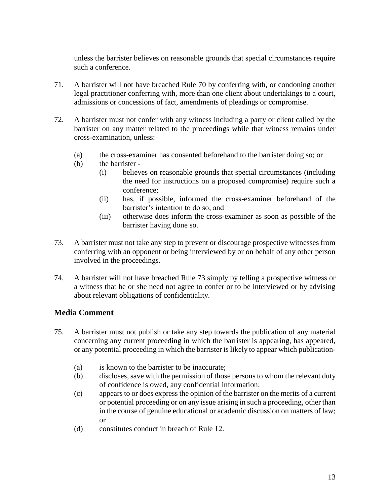unless the barrister believes on reasonable grounds that special circumstances require such a conference.

- 71. A barrister will not have breached Rule [70](#page-13-2) by conferring with, or condoning another legal practitioner conferring with, more than one client about undertakings to a court, admissions or concessions of fact, amendments of pleadings or compromise.
- 72. A barrister must not confer with any witness including a party or client called by the barrister on any matter related to the proceedings while that witness remains under cross-examination, unless:
	- (a) the cross-examiner has consented beforehand to the barrister doing so; or
	- (b) the barrister
		- (i) believes on reasonable grounds that special circumstances (including the need for instructions on a proposed compromise) require such a conference;
		- (ii) has, if possible, informed the cross-examiner beforehand of the barrister's intention to do so; and
		- (iii) otherwise does inform the cross-examiner as soon as possible of the barrister having done so.
- <span id="page-14-1"></span>73. A barrister must not take any step to prevent or discourage prospective witnesses from conferring with an opponent or being interviewed by or on behalf of any other person involved in the proceedings.
- 74. A barrister will not have breached Rule [73](#page-14-1) simply by telling a prospective witness or a witness that he or she need not agree to confer or to be interviewed or by advising about relevant obligations of confidentiality.

## <span id="page-14-0"></span>**Media Comment**

- <span id="page-14-2"></span>75. A barrister must not publish or take any step towards the publication of any material concerning any current proceeding in which the barrister is appearing, has appeared, or any potential proceeding in which the barrister is likely to appear which publication-
	- (a) is known to the barrister to be inaccurate;
	- (b) discloses, save with the permission of those persons to whom the relevant duty of confidence is owed, any confidential information;
	- (c) appears to or does express the opinion of the barrister on the merits of a current or potential proceeding or on any issue arising in such a proceeding, other than in the course of genuine educational or academic discussion on matters of law; or
	- (d) constitutes conduct in breach of Rule 12.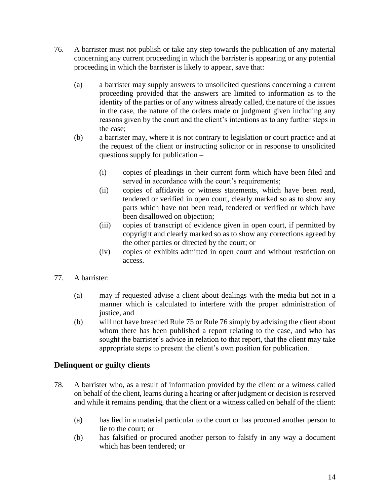- <span id="page-15-1"></span>76. A barrister must not publish or take any step towards the publication of any material concerning any current proceeding in which the barrister is appearing or any potential proceeding in which the barrister is likely to appear, save that:
	- (a) a barrister may supply answers to unsolicited questions concerning a current proceeding provided that the answers are limited to information as to the identity of the parties or of any witness already called, the nature of the issues in the case, the nature of the orders made or judgment given including any reasons given by the court and the client's intentions as to any further steps in the case;
	- (b) a barrister may, where it is not contrary to legislation or court practice and at the request of the client or instructing solicitor or in response to unsolicited questions supply for publication –
		- (i) copies of pleadings in their current form which have been filed and served in accordance with the court's requirements;
		- (ii) copies of affidavits or witness statements, which have been read, tendered or verified in open court, clearly marked so as to show any parts which have not been read, tendered or verified or which have been disallowed on objection;
		- (iii) copies of transcript of evidence given in open court, if permitted by copyright and clearly marked so as to show any corrections agreed by the other parties or directed by the court; or
		- (iv) copies of exhibits admitted in open court and without restriction on access.
- 77. A barrister:
	- (a) may if requested advise a client about dealings with the media but not in a manner which is calculated to interfere with the proper administration of justice, and
	- (b) will not have breached Rule [75](#page-14-2) or Rule [76](#page-15-1) simply by advising the client about whom there has been published a report relating to the case, and who has sought the barrister's advice in relation to that report, that the client may take appropriate steps to present the client's own position for publication.

## <span id="page-15-0"></span>**Delinquent or guilty clients**

- <span id="page-15-2"></span>78. A barrister who, as a result of information provided by the client or a witness called on behalf of the client, learns during a hearing or after judgment or decision is reserved and while it remains pending, that the client or a witness called on behalf of the client:
	- (a) has lied in a material particular to the court or has procured another person to lie to the court; or
	- (b) has falsified or procured another person to falsify in any way a document which has been tendered; or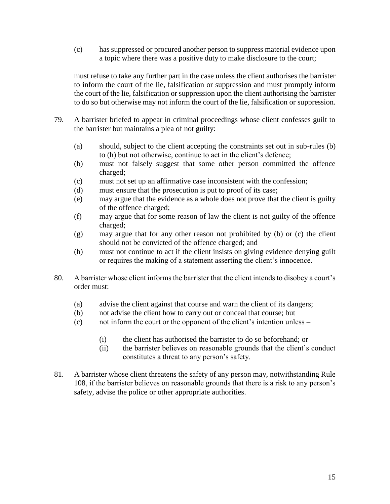(c) has suppressed or procured another person to suppress material evidence upon a topic where there was a positive duty to make disclosure to the court;

must refuse to take any further part in the case unless the client authorises the barrister to inform the court of the lie, falsification or suppression and must promptly inform the court of the lie, falsification or suppression upon the client authorising the barrister to do so but otherwise may not inform the court of the lie, falsification or suppression.

- <span id="page-16-3"></span><span id="page-16-1"></span>79. A barrister briefed to appear in criminal proceedings whose client confesses guilt to the barrister but maintains a plea of not guilty:
	- (a) should, subject to the client accepting the constraints set out in sub-rules [\(b\)](#page-16-1) to [\(h\)](#page-16-2) but not otherwise, continue to act in the client's defence;
	- (b) must not falsely suggest that some other person committed the offence charged;
	- (c) must not set up an affirmative case inconsistent with the confession;
	- (d) must ensure that the prosecution is put to proof of its case;
	- (e) may argue that the evidence as a whole does not prove that the client is guilty of the offence charged;
	- (f) may argue that for some reason of law the client is not guilty of the offence charged;
	- (g) may argue that for any other reason not prohibited by [\(b\)](#page-16-1) or [\(c\)](#page-16-3) the client should not be convicted of the offence charged; and
	- (h) must not continue to act if the client insists on giving evidence denying guilt or requires the making of a statement asserting the client's innocence.
- <span id="page-16-4"></span><span id="page-16-2"></span>80. A barrister whose client informs the barrister that the client intends to disobey a court's order must:
	- (a) advise the client against that course and warn the client of its dangers;
	- (b) not advise the client how to carry out or conceal that course; but
	- (c) not inform the court or the opponent of the client's intention unless
		- (i) the client has authorised the barrister to do so beforehand; or
		- (ii) the barrister believes on reasonable grounds that the client's conduct constitutes a threat to any person's safety.
- <span id="page-16-0"></span>81. A barrister whose client threatens the safety of any person may, notwithstanding Rule [108,](#page-23-1) if the barrister believes on reasonable grounds that there is a risk to any person's safety, advise the police or other appropriate authorities.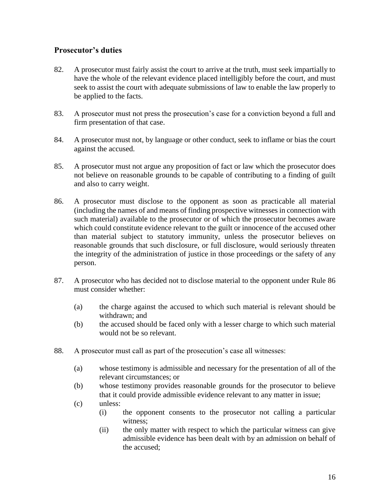## **Prosecutor's duties**

- <span id="page-17-2"></span>82. A prosecutor must fairly assist the court to arrive at the truth, must seek impartially to have the whole of the relevant evidence placed intelligibly before the court, and must seek to assist the court with adequate submissions of law to enable the law properly to be applied to the facts.
- 83. A prosecutor must not press the prosecution's case for a conviction beyond a full and firm presentation of that case.
- <span id="page-17-3"></span>84. A prosecutor must not, by language or other conduct, seek to inflame or bias the court against the accused.
- <span id="page-17-4"></span>85. A prosecutor must not argue any proposition of fact or law which the prosecutor does not believe on reasonable grounds to be capable of contributing to a finding of guilt and also to carry weight.
- <span id="page-17-0"></span>86. A prosecutor must disclose to the opponent as soon as practicable all material (including the names of and means of finding prospective witnesses in connection with such material) available to the prosecutor or of which the prosecutor becomes aware which could constitute evidence relevant to the guilt or innocence of the accused other than material subject to statutory immunity, unless the prosecutor believes on reasonable grounds that such disclosure, or full disclosure, would seriously threaten the integrity of the administration of justice in those proceedings or the safety of any person.
- 87. A prosecutor who has decided not to disclose material to the opponent under Rule [86](#page-17-0) must consider whether:
	- (a) the charge against the accused to which such material is relevant should be withdrawn; and
	- (b) the accused should be faced only with a lesser charge to which such material would not be so relevant.
- <span id="page-17-1"></span>88. A prosecutor must call as part of the prosecution's case all witnesses:
	- (a) whose testimony is admissible and necessary for the presentation of all of the relevant circumstances; or
	- (b) whose testimony provides reasonable grounds for the prosecutor to believe that it could provide admissible evidence relevant to any matter in issue;
	- (c) unless:
		- (i) the opponent consents to the prosecutor not calling a particular witness;
		- (ii) the only matter with respect to which the particular witness can give admissible evidence has been dealt with by an admission on behalf of the accused;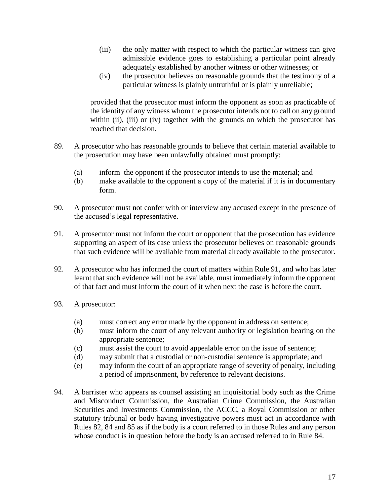- <span id="page-18-0"></span>(iii) the only matter with respect to which the particular witness can give admissible evidence goes to establishing a particular point already adequately established by another witness or other witnesses; or
- (iv) the prosecutor believes on reasonable grounds that the testimony of a particular witness is plainly untruthful or is plainly unreliable;

<span id="page-18-1"></span>provided that the prosecutor must inform the opponent as soon as practicable of the identity of any witness whom the prosecutor intends not to call on any ground within [\(ii\),](#page-17-1) [\(iii\)](#page-18-0) or [\(iv\)](#page-18-1) together with the grounds on which the prosecutor has reached that decision.

- 89. A prosecutor who has reasonable grounds to believe that certain material available to the prosecution may have been unlawfully obtained must promptly:
	- (a) inform the opponent if the prosecutor intends to use the material; and
	- (b) make available to the opponent a copy of the material if it is in documentary form.
- 90. A prosecutor must not confer with or interview any accused except in the presence of the accused's legal representative.
- <span id="page-18-2"></span>91. A prosecutor must not inform the court or opponent that the prosecution has evidence supporting an aspect of its case unless the prosecutor believes on reasonable grounds that such evidence will be available from material already available to the prosecutor.
- 92. A prosecutor who has informed the court of matters within Rule [91,](#page-18-2) and who has later learnt that such evidence will not be available, must immediately inform the opponent of that fact and must inform the court of it when next the case is before the court.
- 93. A prosecutor:
	- (a) must correct any error made by the opponent in address on sentence;
	- (b) must inform the court of any relevant authority or legislation bearing on the appropriate sentence;
	- (c) must assist the court to avoid appealable error on the issue of sentence;
	- (d) may submit that a custodial or non-custodial sentence is appropriate; and
	- (e) may inform the court of an appropriate range of severity of penalty, including a period of imprisonment, by reference to relevant decisions.
- 94. A barrister who appears as counsel assisting an inquisitorial body such as the Crime and Misconduct Commission, the Australian Crime Commission, the Australian Securities and Investments Commission, the ACCC, a Royal Commission or other statutory tribunal or body having investigative powers must act in accordance with Rules [82,](#page-17-2) [84](#page-17-3) and [85](#page-17-4) as if the body is a court referred to in those Rules and any person whose conduct is in question before the body is an accused referred to in Rule [84.](#page-17-3)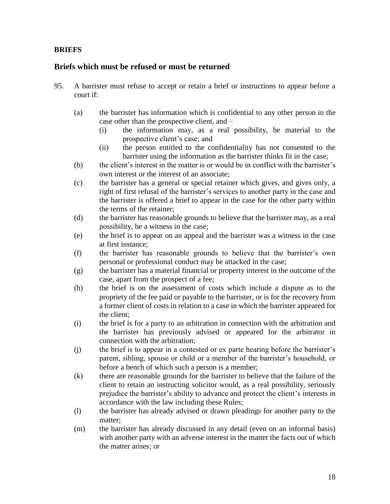#### <span id="page-19-0"></span>**BRIEFS**

#### <span id="page-19-1"></span>**Briefs which must be refused or must be returned**

- <span id="page-19-3"></span><span id="page-19-2"></span>95. A barrister must refuse to accept or retain a brief or instructions to appear before a court if:
	- (a) the barrister has information which is confidential to any other person in the case other than the prospective client, and –
		- (i) the information may, as a real possibility, be material to the prospective client's case; and
		- (ii) the person entitled to the confidentiality has not consented to the barrister using the information as the barrister thinks fit in the case;
	- (b) the client's interest in the matter is or would be in conflict with the barrister's own interest or the interest of an associate;
	- (c) the barrister has a general or special retainer which gives, and gives only, a right of first refusal of the barrister's services to another party in the case and the barrister is offered a brief to appear in the case for the other party within the terms of the retainer;
	- (d) the barrister has reasonable grounds to believe that the barrister may, as a real possibility, be a witness in the case;
	- (e) the brief is to appear on an appeal and the barrister was a witness in the case at first instance;
	- (f) the barrister has reasonable grounds to believe that the barrister's own personal or professional conduct may be attacked in the case;
	- (g) the barrister has a material financial or property interest in the outcome of the case, apart from the prospect of a fee;
	- (h) the brief is on the assessment of costs which include a dispute as to the propriety of the fee paid or payable to the barrister, or is for the recovery from a former client of costs in relation to a case in which the barrister appeared for the client;
	- (i) the brief is for a party to an arbitration in connection with the arbitration and the barrister has previously advised or appeared for the arbitrator in connection with the arbitration;
	- (j) the brief is to appear in a contested or ex parte hearing before the barrister's parent, sibling, spouse or child or a member of the barrister's household, or before a bench of which such a person is a member;
	- (k) there are reasonable grounds for the barrister to believe that the failure of the client to retain an instructing solicitor would, as a real possibility, seriously prejudice the barrister's ability to advance and protect the client's interests in accordance with the law including these Rules;
	- (l) the barrister has already advised or drawn pleadings for another party to the matter;
	- (m) the barrister has already discussed in any detail (even on an informal basis) with another party with an adverse interest in the matter the facts out of which the matter arises; or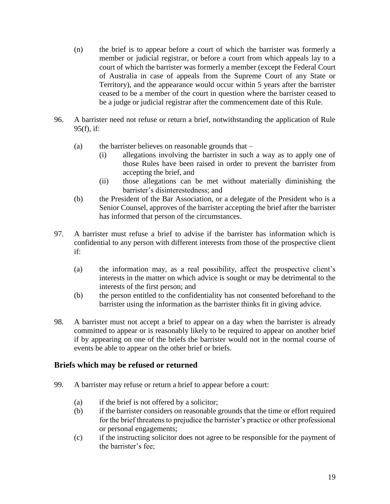- (n) the brief is to appear before a court of which the barrister was formerly a member or judicial registrar, or before a court from which appeals lay to a court of which the barrister was formerly a member (except the Federal Court of Australia in case of appeals from the Supreme Court of any State or Territory), and the appearance would occur within 5 years after the barrister ceased to be a member of the court in question where the barrister ceased to be a judge or judicial registrar after the commencement date of this Rule.
- 96. A barrister need not refuse or return a brief, notwithstanding the application of Rule [95\(f\),](#page-19-3) if:
	- (a) the barrister believes on reasonable grounds that
		- (i) allegations involving the barrister in such a way as to apply one of those Rules have been raised in order to prevent the barrister from accepting the brief, and
		- (ii) those allegations can be met without materially diminishing the barrister's disinterestedness; and
	- (b) the President of the Bar Association, or a delegate of the President who is a Senior Counsel, approves of the barrister accepting the brief after the barrister has informed that person of the circumstances.
- <span id="page-20-1"></span>97. A barrister must refuse a brief to advise if the barrister has information which is confidential to any person with different interests from those of the prospective client if:
	- (a) the information may, as a real possibility, affect the prospective client's interests in the matter on which advice is sought or may be detrimental to the interests of the first person; and
	- (b) the person entitled to the confidentiality has not consented beforehand to the barrister using the information as the barrister thinks fit in giving advice.
- 98. A barrister must not accept a brief to appear on a day when the barrister is already committed to appear or is reasonably likely to be required to appear on another brief if by appearing on one of the briefs the barrister would not in the normal course of events be able to appear on the other brief or briefs.

## <span id="page-20-0"></span>**Briefs which may be refused or returned**

- <span id="page-20-2"></span>99. A barrister may refuse or return a brief to appear before a court:
	- (a) if the brief is not offered by a solicitor;
	- (b) if the barrister considers on reasonable grounds that the time or effort required for the brief threatens to prejudice the barrister's practice or other professional or personal engagements;
	- (c) if the instructing solicitor does not agree to be responsible for the payment of the barrister's fee;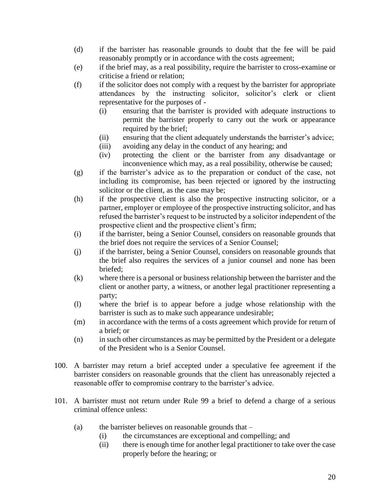- (d) if the barrister has reasonable grounds to doubt that the fee will be paid reasonably promptly or in accordance with the costs agreement;
- (e) if the brief may, as a real possibility, require the barrister to cross-examine or criticise a friend or relation;
- (f) if the solicitor does not comply with a request by the barrister for appropriate attendances by the instructing solicitor, solicitor's clerk or client representative for the purposes of -
	- (i) ensuring that the barrister is provided with adequate instructions to permit the barrister properly to carry out the work or appearance required by the brief;
	- (ii) ensuring that the client adequately understands the barrister's advice;
	- (iii) avoiding any delay in the conduct of any hearing; and
	- (iv) protecting the client or the barrister from any disadvantage or inconvenience which may, as a real possibility, otherwise be caused;
- (g) if the barrister's advice as to the preparation or conduct of the case, not including its compromise, has been rejected or ignored by the instructing solicitor or the client, as the case may be;
- (h) if the prospective client is also the prospective instructing solicitor, or a partner, employer or employee of the prospective instructing solicitor, and has refused the barrister's request to be instructed by a solicitor independent of the prospective client and the prospective client's firm;
- (i) if the barrister, being a Senior Counsel, considers on reasonable grounds that the brief does not require the services of a Senior Counsel;
- (j) if the barrister, being a Senior Counsel, considers on reasonable grounds that the brief also requires the services of a junior counsel and none has been briefed;
- (k) where there is a personal or business relationship between the barrister and the client or another party, a witness, or another legal practitioner representing a party;
- (l) where the brief is to appear before a judge whose relationship with the barrister is such as to make such appearance undesirable;
- (m) in accordance with the terms of a costs agreement which provide for return of a brief; or
- (n) in such other circumstances as may be permitted by the President or a delegate of the President who is a Senior Counsel.
- 100. A barrister may return a brief accepted under a speculative fee agreement if the barrister considers on reasonable grounds that the client has unreasonably rejected a reasonable offer to compromise contrary to the barrister's advice.
- 101. A barrister must not return under Rule [99](#page-20-2) a brief to defend a charge of a serious criminal offence unless:
	- (a) the barrister believes on reasonable grounds that
		- (i) the circumstances are exceptional and compelling; and
		- (ii) there is enough time for another legal practitioner to take over the case properly before the hearing; or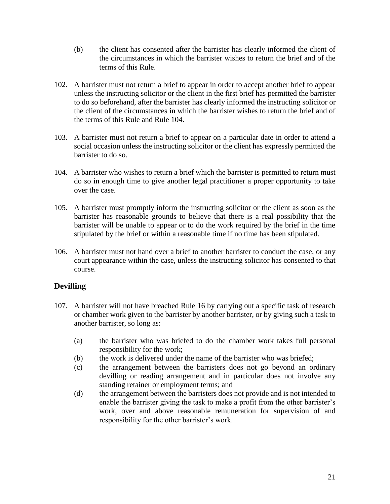- (b) the client has consented after the barrister has clearly informed the client of the circumstances in which the barrister wishes to return the brief and of the terms of this Rule.
- 102. A barrister must not return a brief to appear in order to accept another brief to appear unless the instructing solicitor or the client in the first brief has permitted the barrister to do so beforehand, after the barrister has clearly informed the instructing solicitor or the client of the circumstances in which the barrister wishes to return the brief and of the terms of this Rule and Rule [104.](#page-22-2)
- 103. A barrister must not return a brief to appear on a particular date in order to attend a social occasion unless the instructing solicitor or the client has expressly permitted the barrister to do so.
- <span id="page-22-2"></span>104. A barrister who wishes to return a brief which the barrister is permitted to return must do so in enough time to give another legal practitioner a proper opportunity to take over the case.
- 105. A barrister must promptly inform the instructing solicitor or the client as soon as the barrister has reasonable grounds to believe that there is a real possibility that the barrister will be unable to appear or to do the work required by the brief in the time stipulated by the brief or within a reasonable time if no time has been stipulated.
- <span id="page-22-1"></span>106. A barrister must not hand over a brief to another barrister to conduct the case, or any court appearance within the case, unless the instructing solicitor has consented to that course.

## <span id="page-22-0"></span>**Devilling**

- <span id="page-22-3"></span>107. A barrister will not have breached Rule [16](#page-5-6) by carrying out a specific task of research or chamber work given to the barrister by another barrister, or by giving such a task to another barrister, so long as:
	- (a) the barrister who was briefed to do the chamber work takes full personal responsibility for the work;
	- (b) the work is delivered under the name of the barrister who was briefed;
	- (c) the arrangement between the barristers does not go beyond an ordinary devilling or reading arrangement and in particular does not involve any standing retainer or employment terms; and
	- (d) the arrangement between the barristers does not provide and is not intended to enable the barrister giving the task to make a profit from the other barrister's work, over and above reasonable remuneration for supervision of and responsibility for the other barrister's work.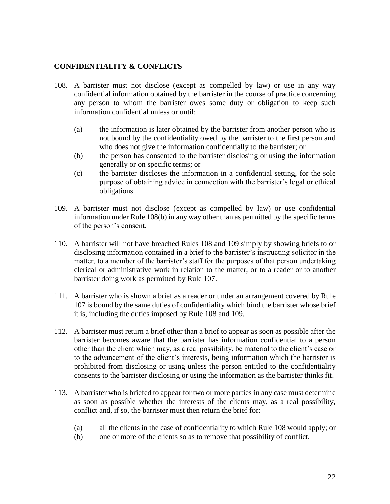#### <span id="page-23-0"></span>**CONFIDENTIALITY & CONFLICTS**

- <span id="page-23-1"></span>108. A barrister must not disclose (except as compelled by law) or use in any way confidential information obtained by the barrister in the course of practice concerning any person to whom the barrister owes some duty or obligation to keep such information confidential unless or until:
	- (a) the information is later obtained by the barrister from another person who is not bound by the confidentiality owed by the barrister to the first person and who does not give the information confidentially to the barrister; or
	- (b) the person has consented to the barrister disclosing or using the information generally or on specific terms; or
	- (c) the barrister discloses the information in a confidential setting, for the sole purpose of obtaining advice in connection with the barrister's legal or ethical obligations.
- <span id="page-23-3"></span><span id="page-23-2"></span>109. A barrister must not disclose (except as compelled by law) or use confidential information under Rule [108\(b\)](#page-23-2) in any way other than as permitted by the specific terms of the person's consent.
- 110. A barrister will not have breached Rules [108](#page-23-1) and [109](#page-23-3) simply by showing briefs to or disclosing information contained in a brief to the barrister's instructing solicitor in the matter, to a member of the barrister's staff for the purposes of that person undertaking clerical or administrative work in relation to the matter, or to a reader or to another barrister doing work as permitted by Rule [107.](#page-22-3)
- 111. A barrister who is shown a brief as a reader or under an arrangement covered by Rule [107](#page-22-3) is bound by the same duties of confidentiality which bind the barrister whose brief it is, including the duties imposed by Rule [108](#page-23-1) and [109.](#page-23-3)
- 112. A barrister must return a brief other than a brief to appear as soon as possible after the barrister becomes aware that the barrister has information confidential to a person other than the client which may, as a real possibility, be material to the client's case or to the advancement of the client's interests, being information which the barrister is prohibited from disclosing or using unless the person entitled to the confidentiality consents to the barrister disclosing or using the information as the barrister thinks fit.
- 113. A barrister who is briefed to appear for two or more parties in any case must determine as soon as possible whether the interests of the clients may, as a real possibility, conflict and, if so, the barrister must then return the brief for:
	- (a) all the clients in the case of confidentiality to which Rule [108](#page-23-1) would apply; or
	- (b) one or more of the clients so as to remove that possibility of conflict.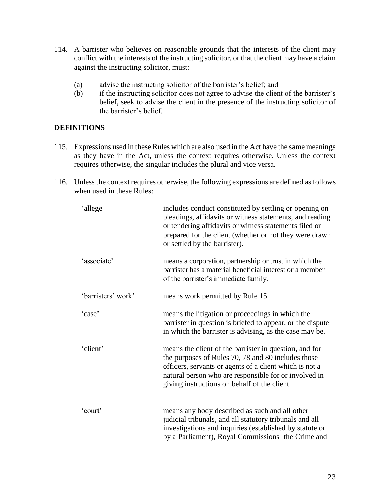- 114. A barrister who believes on reasonable grounds that the interests of the client may conflict with the interests of the instructing solicitor, or that the client may have a claim against the instructing solicitor, must:
	- (a) advise the instructing solicitor of the barrister's belief; and
	- (b) if the instructing solicitor does not agree to advise the client of the barrister's belief, seek to advise the client in the presence of the instructing solicitor of the barrister's belief.

#### <span id="page-24-0"></span>**DEFINITIONS**

- 115. Expressions used in these Rules which are also used in the Act have the same meanings as they have in the Act, unless the context requires otherwise. Unless the context requires otherwise, the singular includes the plural and vice versa.
- 116. Unless the context requires otherwise, the following expressions are defined as follows when used in these Rules:

| 'allege'           | includes conduct constituted by settling or opening on<br>pleadings, affidavits or witness statements, and reading<br>or tendering affidavits or witness statements filed or<br>prepared for the client (whether or not they were drawn<br>or settled by the barrister).         |
|--------------------|----------------------------------------------------------------------------------------------------------------------------------------------------------------------------------------------------------------------------------------------------------------------------------|
| 'associate'        | means a corporation, partnership or trust in which the<br>barrister has a material beneficial interest or a member<br>of the barrister's immediate family.                                                                                                                       |
| 'barristers' work' | means work permitted by Rule 15.                                                                                                                                                                                                                                                 |
| 'case'             | means the litigation or proceedings in which the<br>barrister in question is briefed to appear, or the dispute<br>in which the barrister is advising, as the case may be.                                                                                                        |
| 'client'           | means the client of the barrister in question, and for<br>the purposes of Rules 70, 78 and 80 includes those<br>officers, servants or agents of a client which is not a<br>natural person who are responsible for or involved in<br>giving instructions on behalf of the client. |
| 'court'            | means any body described as such and all other<br>judicial tribunals, and all statutory tribunals and all<br>investigations and inquiries (established by statute or<br>by a Parliament), Royal Commissions [the Crime and                                                       |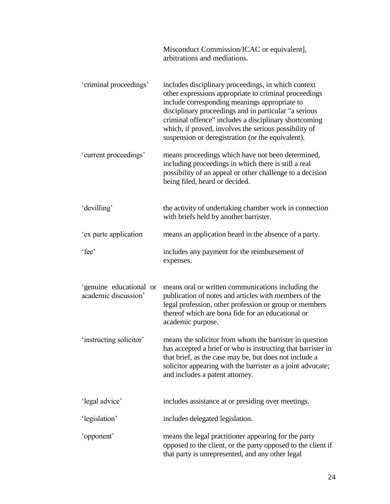|                                                 | Misconduct Commission/ICAC or equivalent],<br>arbitrations and mediations.                                                                                                                                                                                                                                                                                                                    |
|-------------------------------------------------|-----------------------------------------------------------------------------------------------------------------------------------------------------------------------------------------------------------------------------------------------------------------------------------------------------------------------------------------------------------------------------------------------|
| 'criminal proceedings'                          | includes disciplinary proceedings, in which context<br>other expressions appropriate to criminal proceedings<br>include corresponding meanings appropriate to<br>disciplinary proceedings and in particular "a serious<br>criminal offence" includes a disciplinary shortcoming<br>which, if proved, involves the serious possibility of<br>suspension or deregistration (or the equivalent). |
| 'current proceedings'                           | means proceedings which have not been determined,<br>including proceedings in which there is still a real<br>possibility of an appeal or other challenge to a decision<br>being filed, heard or decided.                                                                                                                                                                                      |
| 'devilling'                                     | the activity of undertaking chamber work in connection<br>with briefs held by another barrister.                                                                                                                                                                                                                                                                                              |
| 'ex parte application                           | means an application heard in the absence of a party.                                                                                                                                                                                                                                                                                                                                         |
| 'fee'                                           | includes any payment for the reimbursement of<br>expenses.                                                                                                                                                                                                                                                                                                                                    |
| 'genuine educational or<br>academic discussion' | means oral or written communications including the<br>publication of notes and articles with members of the<br>legal profession, other profession or group or members<br>thereof which are bona fide for an educational or<br>academic purpose.                                                                                                                                               |
| 'instructing solicitor'                         | means the solicitor from whom the barrister in question<br>has accepted a brief or who is instructing that barrister in<br>that brief, as the case may be, but does not include a<br>solicitor appearing with the barrister as a joint advocate;<br>and includes a patent attorney.                                                                                                           |
| 'legal advice'                                  | includes assistance at or presiding over meetings.                                                                                                                                                                                                                                                                                                                                            |
| 'legislation'                                   | includes delegated legislation.                                                                                                                                                                                                                                                                                                                                                               |
| 'opponent'                                      | means the legal practitioner appearing for the party<br>opposed to the client, or the party opposed to the client if<br>that party is unrepresented, and any other legal                                                                                                                                                                                                                      |